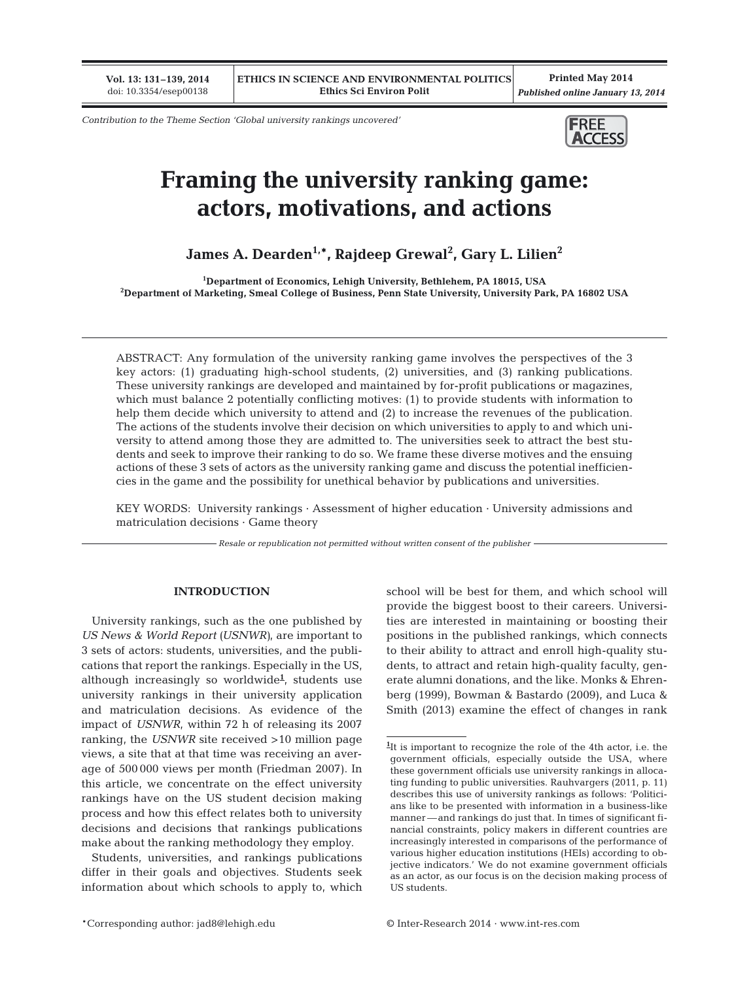**Vol. 13: 131–139, 2014** doi: 10.3354/esep00138

**Printed May 2014** *Published online January 13, 2014*

*Contribution to the Theme Section 'Global university rankings uncovered'*



# **Framing the university ranking game: actors, motivations, and actions**

**James A. Dearden1,\*, Rajdeep Grewal2 , Gary L. Lilien2**

**1 Department of Economics, Lehigh University, Bethlehem, PA 18015, USA 2 Department of Marketing, Smeal College of Business, Penn State University, University Park, PA 16802 USA**

ABSTRACT: Any formulation of the university ranking game involves the perspectives of the 3 key actors: (1) graduating high-school students, (2) universities, and (3) ranking publications. These university rankings are developed and maintained by for-profit publications or magazines, which must balance 2 potentially conflicting motives: (1) to provide students with information to help them decide which university to attend and (2) to increase the revenues of the publication. The actions of the students involve their decision on which universities to apply to and which university to attend among those they are admitted to. The universities seek to attract the best students and seek to improve their ranking to do so. We frame these diverse motives and the ensuing actions of these 3 sets of actors as the university ranking game and discuss the potential inefficiencies in the game and the possibility for unethical behavior by publications and universities.

KEY WORDS: University rankings · Assessment of higher education · University admissions and  $matricularation$  decisions  $\cdot$  Game theory

*Resale or republication not permitted without written consent of the publisher*

#### **INTRODUCTION**

University rankings, such as the one published by *US News & World Report (USNWR)*, are important to 3 sets of actors: students, universities, and the publications that report the rankings. Especially in the US, although increasingly so worldwide**<sup>1</sup>** , students use university rankings in their university application and matriculation decisions. As evidence of the impact of *USNWR*, within 72 h of releasing its 2007 ranking, the *USNWR* site received >10 million page views, a site that at that time was receiving an average of 500 000 views per month (Friedman 2007). In this article, we concentrate on the effect university rankings have on the US student decision making process and how this effect relates both to university decisions and decisions that rankings publications make about the ranking methodology they employ.

Students, universities, and rankings publications differ in their goals and objectives. Students seek information about which schools to apply to, which school will be best for them, and which school will provide the biggest boost to their careers. Universities are interested in maintaining or boosting their positions in the published rankings, which connects to their ability to attract and enroll high-quality students, to attract and retain high-quality faculty, generate alumni donations, and the like. Monks & Ehren berg (1999), Bowman & Bastardo (2009), and Luca & Smith (2013) examine the effect of changes in rank

**<sup>1</sup>** It is important to recognize the role of the 4th actor, i.e. the government officials, especially outside the USA, where these government officials use university rankings in allocating funding to public universities. Rauhvargers (2011, p. 11) describes this use of university rankings as follows: 'Politicians like to be presented with information in a business-like manner —and rankings do just that. In times of significant financial constraints, policy makers in different countries are increasingly interested in comparisons of the performance of various higher education institutions (HEIs) according to objective indicators.' We do not examine government officials as an actor, as our focus is on the decision making process of US students.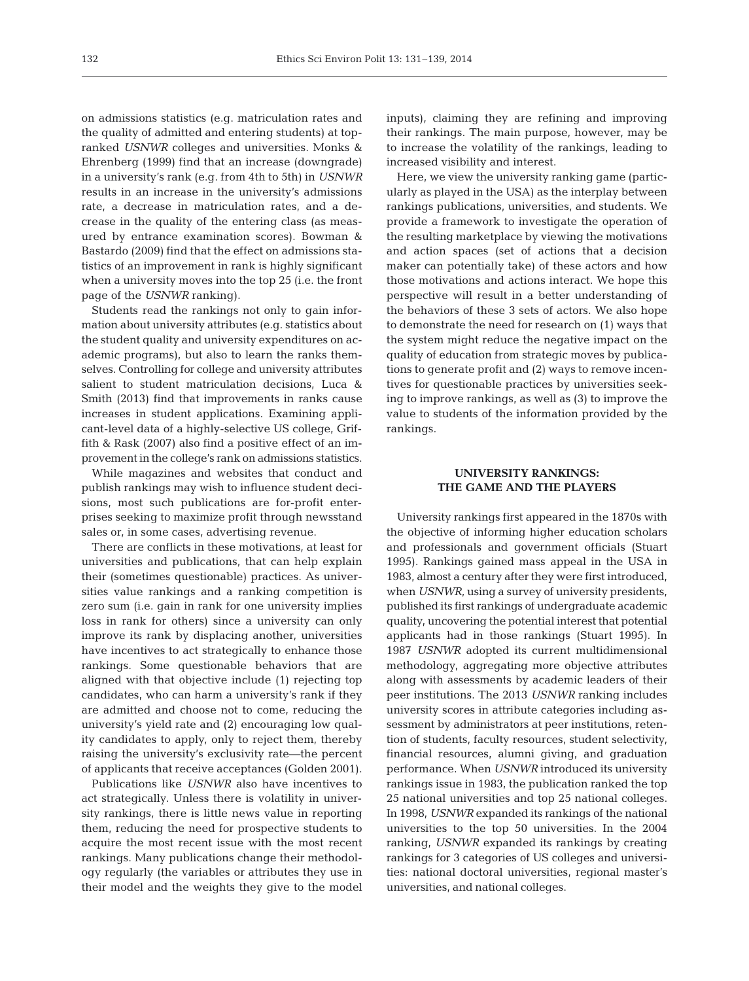on admissions statistics (e.g. matriculation rates and the quality of admitted and entering students) at topranked *USNWR* colleges and universities. Monks & Ehrenberg (1999) find that an increase (downgrade) in a university's rank (e.g. from 4th to 5th) in *USNWR* results in an increase in the university's admissions rate, a decrease in matriculation rates, and a decrease in the quality of the entering class (as measured by entrance examination scores). Bowman & Bastardo (2009) find that the effect on admissions statistics of an improvement in rank is highly significant when a university moves into the top 25 (i.e. the front page of the *USNWR* ranking).

Students read the rankings not only to gain information about university attributes (e.g. statistics about the student quality and university expenditures on academic programs), but also to learn the ranks themselves. Controlling for college and university attributes salient to student matriculation decisions, Luca & Smith (2013) find that improvements in ranks cause increases in student applications. Examining applicant-level data of a highly-selective US college, Griffith & Rask (2007) also find a positive effect of an improvement in the college's rank on admissions statistics.

While magazines and websites that conduct and publish rankings may wish to influence student decisions, most such publications are for-profit enterprises seeking to maximize profit through newsstand sales or, in some cases, advertising revenue.

There are conflicts in these motivations, at least for universities and publications, that can help explain their (sometimes questionable) practices. As universities value rankings and a ranking competition is zero sum (i.e. gain in rank for one university implies loss in rank for others) since a university can only improve its rank by displacing another, universities have incentives to act strategically to enhance those rankings. Some questionable behaviors that are aligned with that objective include (1) rejecting top candidates, who can harm a university's rank if they are admitted and choose not to come, reducing the university's yield rate and (2) encouraging low quality candidates to apply, only to reject them, thereby raising the university's exclusivity rate—the percent of applicants that receive acceptances (Golden 2001).

Publications like *USNWR* also have incentives to act strategically. Unless there is volatility in university rankings, there is little news value in reporting them, reducing the need for prospective students to acquire the most recent issue with the most recent rankings. Many publications change their methodology regularly (the variables or attributes they use in their model and the weights they give to the model inputs), claiming they are refining and improving their rankings. The main purpose, however, may be to increase the volatility of the rankings, leading to increased visibility and interest.

Here, we view the university ranking game (particularly as played in the USA) as the interplay between rankings publications, universities, and students. We provide a framework to investigate the operation of the resulting marketplace by viewing the motivations and action spaces (set of actions that a decision maker can potentially take) of these actors and how those motivations and actions interact. We hope this perspective will result in a better understanding of the behaviors of these 3 sets of actors. We also hope to demonstrate the need for research on (1) ways that the system might reduce the negative impact on the quality of education from strategic moves by publications to generate profit and (2) ways to remove incentives for questionable practices by universities seeking to improve rankings, as well as (3) to improve the value to students of the information provided by the rankings.

# **UNIVERSITY RANKINGS: THE GAME AND THE PLAYERS**

University rankings first appeared in the 1870s with the objective of informing higher education scholars and professionals and government officials (Stuart 1995). Rankings gained mass appeal in the USA in 1983, almost a century after they were first introduced, when *USNWR*, using a survey of university presidents, published its first rankings of undergraduate academic quality, uncovering the potential interest that potential applicants had in those rankings (Stuart 1995). In 1987 *USNWR* adopted its current multidimensional methodology, aggregating more objective attributes along with assessments by academic leaders of their peer institutions. The 2013 *USNWR* ranking includes university scores in attribute categories including assessment by administrators at peer institutions, retention of students, faculty resources, student selectivity, financial resources, alumni giving, and graduation performance. When *USNWR* introduced its university rankings issue in 1983, the publication ranked the top 25 national universities and top 25 national colleges. In 1998, *USNWR* expanded its rankings of the national universities to the top 50 universities. In the 2004 ranking, *USNWR* expanded its rankings by creating rankings for 3 categories of US colleges and universities: national doctoral universities, regional master's universities, and national colleges.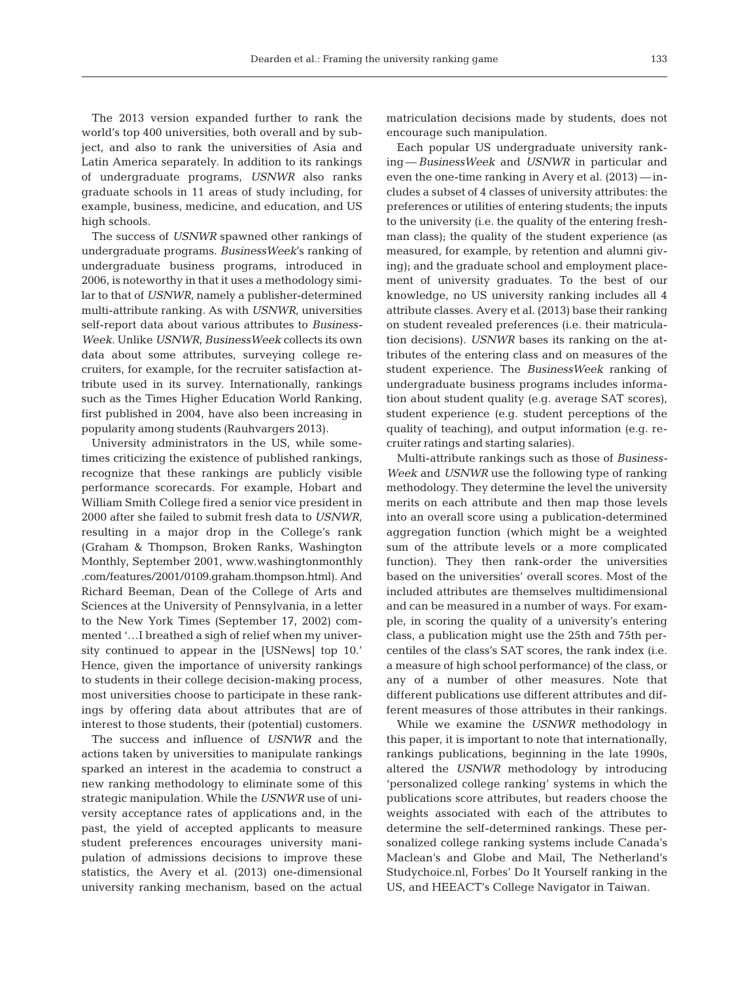The 2013 version expanded further to rank the world's top 400 universities, both overall and by subject, and also to rank the universities of Asia and Latin America separately. In addition to its rankings of undergraduate programs, *USNWR* also ranks graduate schools in 11 areas of study including, for example, business, medicine, and education, and US high schools.

The success of *USNWR* spawned other rankings of undergraduate programs. *BusinessWeek*'s ranking of undergraduate business programs, introduced in 2006, is noteworthy in that it uses a methodology similar to that of *USNWR*, namely a publisher-determined multi-attribute ranking. As with *USNWR*, universities self-report data about various attributes to *Business-Week*. Unlike *USNWR*, *BusinessWeek* collects its own data about some attributes, surveying college recruiters, for example, for the recruiter satisfaction attribute used in its survey. Internationally, rankings such as the Times Higher Education World Ranking, first published in 2004, have also been increasing in popularity among students (Rauhvargers 2013).

University administrators in the US, while sometimes criticizing the existence of published rankings, recognize that these rankings are publicly visible performance scorecards. For example, Hobart and William Smith College fired a senior vice president in 2000 after she failed to submit fresh data to *USNWR*, resulting in a major drop in the College's rank (Graham & Thompson, Broken Ranks, Washington Monthly, September 2001, www.washingtonmonthly .com/features/2001/0109.graham.thompson.html). And Richard Beeman, Dean of the College of Arts and Sciences at the University of Pennsylvania, in a letter to the New York Times (September 17, 2002) commented '…I breathed a sigh of relief when my university continued to appear in the [USNews] top 10.' Hence, given the importance of university rankings to students in their college decision-making process, most universities choose to participate in these rankings by offering data about attributes that are of interest to those students, their (potential) customers.

The success and influence of *USNWR* and the actions taken by universities to manipulate rankings sparked an interest in the academia to construct a new ranking methodology to eliminate some of this strategic manipulation. While the *USNWR* use of university acceptance rates of applications and, in the past, the yield of accepted applicants to measure student preferences encourages university manipulation of admissions decisions to improve these statistics, the Avery et al. (2013) one-dimensional university ranking mechanism, based on the actual matriculation decisions made by students, does not encourage such manipulation.

Each popular US undergraduate university ranking —*BusinessWeek* and *USNWR* in particular and even the one-time ranking in Avery et al. (2013) — includes a subset of 4 classes of university attributes: the preferences or utilities of entering students; the inputs to the university (i.e. the quality of the entering freshman class); the quality of the student experience (as measured, for example, by retention and alumni giving); and the graduate school and employment placement of university graduates. To the best of our knowledge, no US university ranking includes all 4 attribute classes. Avery et al. (2013) base their ranking on student revealed preferences (i.e. their matriculation decisions). *USNWR* bases its ranking on the attributes of the entering class and on measures of the student experience. The *BusinessWeek* ranking of undergraduate business programs includes information about student quality (e.g. average SAT scores), student experience (e.g. student perceptions of the quality of teaching), and output information (e.g. recruiter ratings and starting salaries).

Multi-attribute rankings such as those of *Business-Week* and *USNWR* use the following type of ranking methodology. They determine the level the university merits on each attribute and then map those levels into an overall score using a publication-determined aggregation function (which might be a weighted sum of the attribute levels or a more complicated function). They then rank-order the universities based on the universities' overall scores. Most of the included attributes are themselves multidimensional and can be measured in a number of ways. For example, in scoring the quality of a university's entering class, a publication might use the 25th and 75th percentiles of the class's SAT scores, the rank index (i.e. a measure of high school performance) of the class, or any of a number of other measures. Note that different publications use different attributes and different measures of those attributes in their rankings.

While we examine the *USNWR* methodology in this paper, it is important to note that internationally, rankings publications, beginning in the late 1990s, altered the *USNWR* methodology by introducing 'personalized college ranking' systems in which the publications score attributes, but readers choose the weights associated with each of the attributes to determine the self-determined rankings. These personalized college ranking systems include Canada's Maclean's and Globe and Mail, The Netherland's Studychoice.nl, Forbes' Do It Yourself ranking in the US, and HEEACT's College Navigator in Taiwan.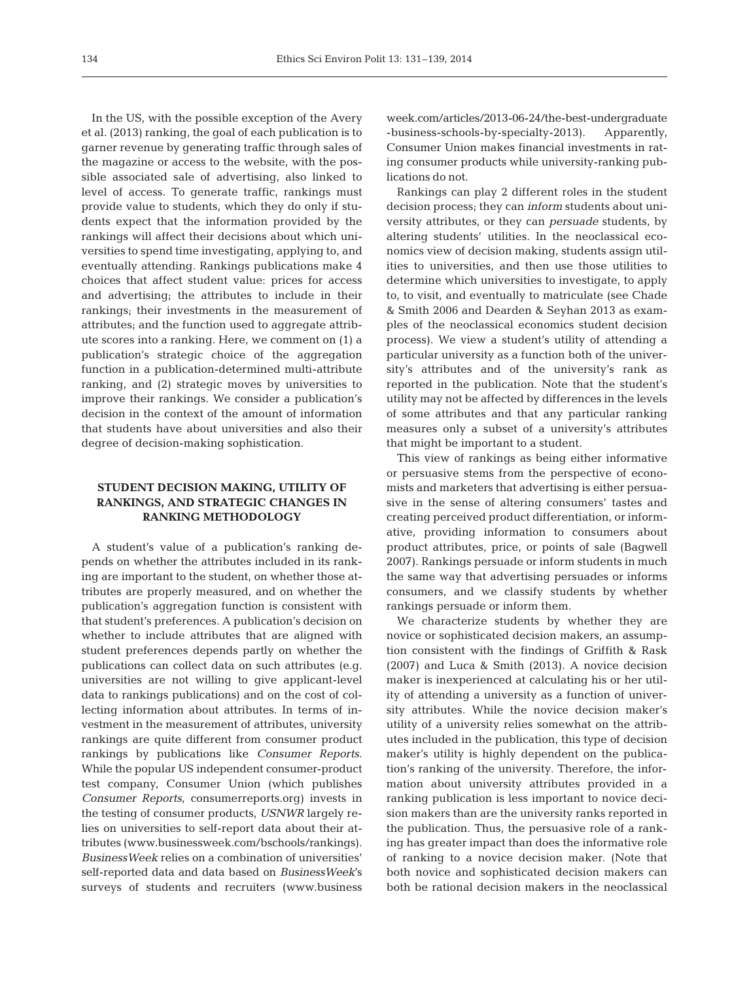In the US, with the possible exception of the Avery et al. (2013) ranking, the goal of each publication is to garner revenue by generating traffic through sales of the magazine or access to the website, with the possible associated sale of advertising, also linked to level of access. To generate traffic, rankings must provide value to students, which they do only if students expect that the information provided by the rankings will affect their decisions about which universities to spend time investigating, applying to, and eventually attending. Rankings publications make 4 choices that affect student value: prices for access and advertising; the attributes to include in their rankings; their investments in the measurement of attributes; and the function used to aggregate attribute scores into a ranking. Here, we comment on (1) a publication's strategic choice of the aggregation function in a publication-determined multi-attribute ranking, and (2) strategic moves by universities to improve their rankings. We consider a publication's decision in the context of the amount of information that students have about universities and also their degree of decision-making sophistication.

# **STUDENT DECISION MAKING, UTILITY OF RANKINGS, AND STRATEGIC CHANGES IN RANKING METHODOLOGY**

A student's value of a publication's ranking de pends on whether the attributes included in its ranking are important to the student, on whether those attributes are properly measured, and on whether the publication's aggregation function is consistent with that student's preferences. A publication's decision on whether to include attributes that are aligned with student preferences depends partly on whether the publications can collect data on such attributes (e.g. universities are not willing to give applicant-level data to rankings publications) and on the cost of collecting information about attributes. In terms of investment in the measurement of attributes, university rankings are quite different from consumer product rankings by publications like *Consumer Reports*. While the popular US independent consumer-product test company, Consumer Union (which publishes *Consumer Reports*, consumerreports.org) invests in the testing of consumer products, *USNWR* largely relies on universities to self-report data about their attributes (www.businessweek.com/bschools/rankings). *BusinessWeek* relies on a combination of universities' self-reported data and data based on *BusinessWeek*'s surveys of students and recruiters (www.business

week.com/articles/2013-06-24/the-best-undergraduate - business-schools-by-specialty-2013). Apparently, Consumer Union makes financial investments in rating consumer products while university-ranking publications do not.

Rankings can play 2 different roles in the student decision process; they can *inform* students about university attributes, or they can *persuade* students, by altering students' utilities. In the neoclassical economics view of decision making, students assign utilities to universities, and then use those utilities to determine which universities to investigate, to apply to, to visit, and eventually to matriculate (see Chade & Smith 2006 and Dearden & Seyhan 2013 as examples of the neoclassical economics student decision process). We view a student's utility of attending a particular university as a function both of the university's attributes and of the university's rank as reported in the publication. Note that the student's utility may not be affected by differences in the levels of some attributes and that any particular ranking measures only a subset of a university's attributes that might be important to a student.

This view of rankings as being either informative or persuasive stems from the perspective of economists and marketers that advertising is either persuasive in the sense of altering consumers' tastes and creating perceived product differentiation, or informative, providing information to consumers about product attributes, price, or points of sale (Bagwell 2007). Rankings persuade or inform students in much the same way that advertising persuades or informs consumers, and we classify students by whether rankings persuade or inform them.

We characterize students by whether they are novice or sophisticated decision makers, an assumption consistent with the findings of Griffith & Rask (2007) and Luca & Smith (2013). A novice decision maker is inexperienced at calculating his or her utility of attending a university as a function of university attributes. While the novice decision maker's utility of a university relies somewhat on the attributes included in the publication, this type of decision maker's utility is highly dependent on the publication's ranking of the university. Therefore, the information about university attributes provided in a ranking publication is less important to novice decision makers than are the university ranks reported in the publication. Thus, the persuasive role of a ranking has greater impact than does the informative role of ranking to a novice decision maker. (Note that both novice and sophisticated decision makers can both be rational decision makers in the neoclassical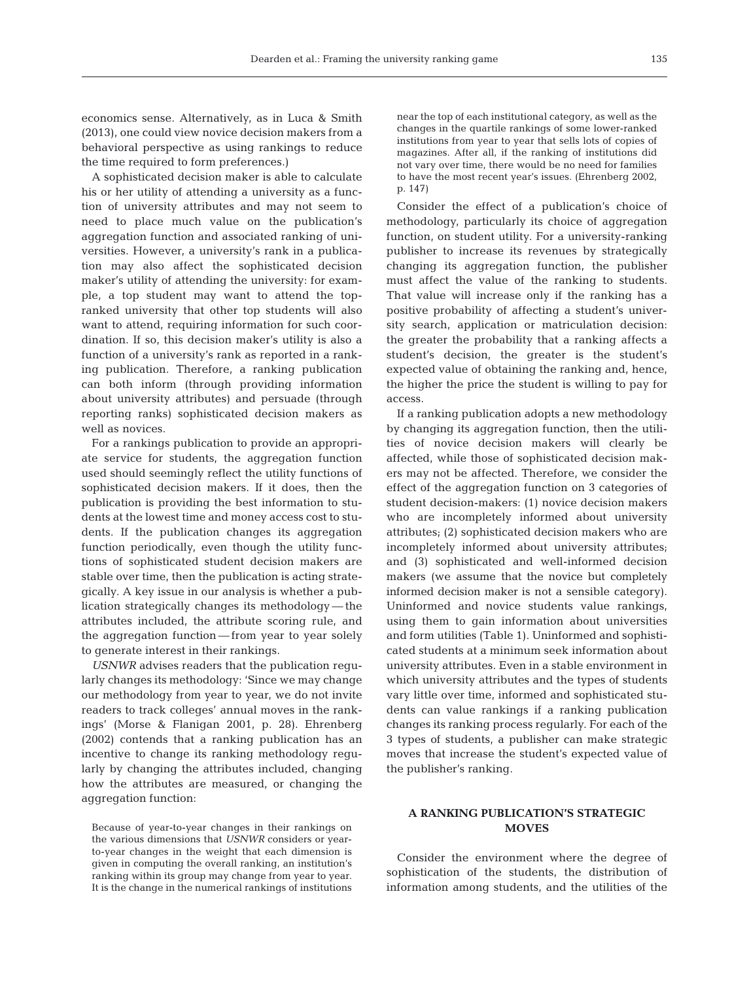economics sense. Alternatively, as in Luca & Smith (2013), one could view novice decision makers from a behavioral perspective as using rankings to reduce the time required to form preferences.)

A sophisticated decision maker is able to calculate his or her utility of attending a university as a function of university attributes and may not seem to need to place much value on the publication's aggregation function and associated ranking of universities. However, a university's rank in a publication may also affect the sophisticated decision maker's utility of attending the university: for example, a top student may want to attend the topranked university that other top students will also want to attend, requiring information for such coordination. If so, this decision maker's utility is also a function of a university's rank as reported in a ranking publication. Therefore, a ranking publication can both inform (through providing information about university attributes) and persuade (through reporting ranks) sophisticated decision makers as well as novices.

For a rankings publication to provide an appropriate service for students, the aggregation function used should seemingly reflect the utility functions of sophisticated decision makers. If it does, then the publication is providing the best information to students at the lowest time and money access cost to students. If the publication changes its aggregation function periodically, even though the utility functions of sophisticated student decision makers are stable over time, then the publication is acting strategically. A key issue in our analysis is whether a publication strategically changes its methodology — the attributes included, the attribute scoring rule, and the aggregation function — from year to year solely to generate interest in their rankings.

*USNWR* advises readers that the publication regularly changes its methodology: 'Since we may change our methodology from year to year, we do not invite readers to track colleges' annual moves in the rankings' (Morse & Flanigan 2001, p. 28). Ehrenberg (2002) contends that a ranking publication has an incentive to change its ranking methodology regularly by changing the attributes included, changing how the attributes are measured, or changing the aggregation function:

Because of year-to-year changes in their rankings on the various dimensions that *USNWR* considers or yearto-year changes in the weight that each dimension is given in computing the overall ranking, an institution's ranking within its group may change from year to year. It is the change in the numerical rankings of institutions

near the top of each institutional category, as well as the changes in the quartile rankings of some lower-ranked institutions from year to year that sells lots of copies of magazines. After all, if the ranking of institutions did not vary over time, there would be no need for families to have the most recent year's issues. (Ehrenberg 2002, p. 147)

Consider the effect of a publication's choice of methodology, particularly its choice of aggregation function, on student utility. For a university-ranking publisher to increase its revenues by strategically changing its aggregation function, the publisher must affect the value of the ranking to students. That value will increase only if the ranking has a positive probability of affecting a student's university search, application or matriculation decision: the greater the probability that a ranking affects a student's decision, the greater is the student's expected value of obtaining the ranking and, hence, the higher the price the student is willing to pay for access.

If a ranking publication adopts a new methodology by changing its aggregation function, then the utilities of novice decision makers will clearly be affected, while those of sophisticated decision makers may not be affected. Therefore, we consider the effect of the aggregation function on 3 categories of student decision-makers: (1) novice decision makers who are incompletely informed about university attributes; (2) sophisticated decision makers who are incompletely informed about university attributes; and (3) sophisticated and well-informed decision makers (we assume that the novice but completely informed decision maker is not a sensible category). Uninformed and novice students value rankings, using them to gain information about universities and form utilities (Table 1). Uninformed and sophisticated students at a minimum seek information about university attributes. Even in a stable environment in which university attributes and the types of students vary little over time, informed and sophisticated students can value rankings if a ranking publication changes its ranking process regularly. For each of the 3 types of students, a publisher can make strategic moves that increase the student's expected value of the publisher's ranking.

### **A RANKING PUBLICATION'S STRATEGIC MOVES**

Consider the environment where the degree of sophistication of the students, the distribution of information among students, and the utilities of the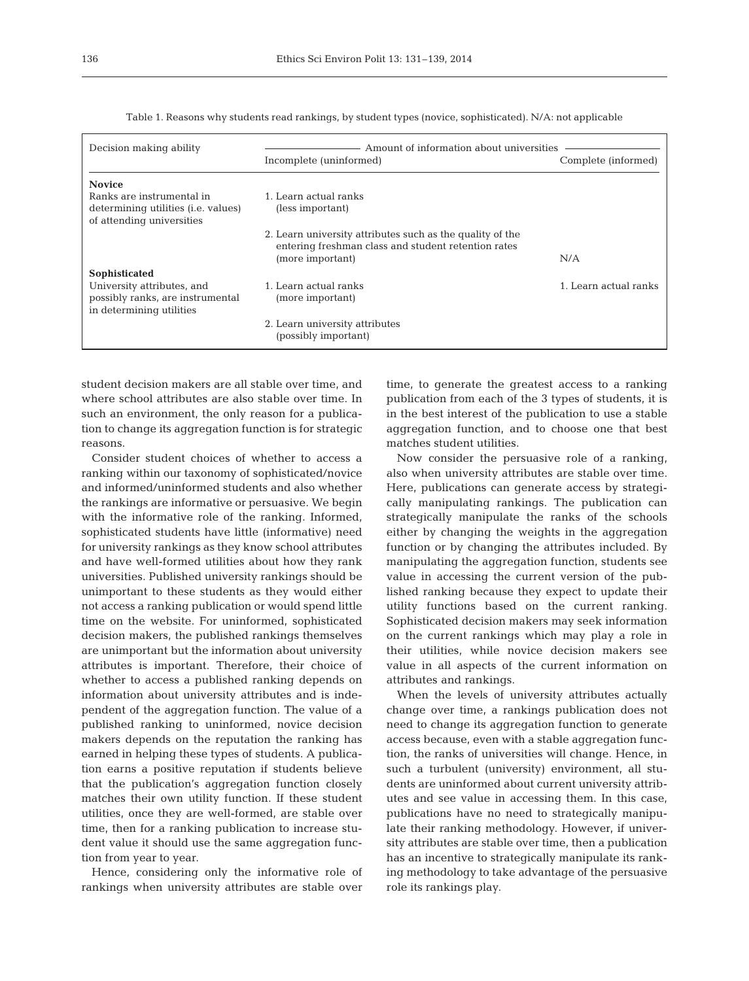| Decision making ability                                                                                     | Amount of information about universities                                                                                             |                       |
|-------------------------------------------------------------------------------------------------------------|--------------------------------------------------------------------------------------------------------------------------------------|-----------------------|
|                                                                                                             | Incomplete (uninformed)                                                                                                              | Complete (informed)   |
| <b>Novice</b>                                                                                               |                                                                                                                                      |                       |
| Ranks are instrumental in<br>determining utilities (i.e. values)<br>of attending universities               | 1. Learn actual ranks<br>(less important)                                                                                            |                       |
|                                                                                                             | 2. Learn university attributes such as the quality of the<br>entering freshman class and student retention rates<br>(more important) | N/A                   |
| Sophisticated<br>University attributes, and<br>possibly ranks, are instrumental<br>in determining utilities | 1. Learn actual ranks<br>(more important)                                                                                            | 1. Learn actual ranks |
|                                                                                                             | 2. Learn university attributes<br>(possibly important)                                                                               |                       |

Table 1. Reasons why students read rankings, by student types (novice, sophisticated). N/A: not applicable

student decision makers are all stable over time, and where school attributes are also stable over time. In such an environment, the only reason for a publication to change its aggregation function is for strategic reasons.

Consider student choices of whether to access a ranking within our taxonomy of sophisticated/novice and informed/uninformed students and also whether the rankings are informative or persuasive. We begin with the informative role of the ranking. Informed, sophisticated students have little (informative) need for university rankings as they know school attributes and have well-formed utilities about how they rank universities. Published university rankings should be unimportant to these students as they would either not access a ranking publication or would spend little time on the website. For uninformed, sophisticated decision makers, the published rankings themselves are unimportant but the information about university attributes is important. Therefore, their choice of whether to access a published ranking depends on information about university attributes and is independent of the aggregation function. The value of a published ranking to uninformed, novice decision makers depends on the reputation the ranking has earned in helping these types of students. A publication earns a positive reputation if students believe that the publication's aggregation function closely matches their own utility function. If these student utilities, once they are well-formed, are stable over time, then for a ranking publication to increase student value it should use the same aggregation function from year to year.

Hence, considering only the informative role of rankings when university attributes are stable over time, to generate the greatest access to a ranking publication from each of the 3 types of students, it is in the best interest of the publication to use a stable aggregation function, and to choose one that best matches student utilities.

Now consider the persuasive role of a ranking, also when university attributes are stable over time. Here, publications can generate access by strategically manipulating rankings. The publication can strategically manipulate the ranks of the schools either by changing the weights in the aggregation function or by changing the attributes included. By manipulating the aggregation function, students see value in accessing the current version of the published ranking because they expect to update their utility functions based on the current ranking. Sophisticated decision makers may seek information on the current rankings which may play a role in their utilities, while novice decision makers see value in all aspects of the current information on attributes and rankings.

When the levels of university attributes actually change over time, a rankings publication does not need to change its aggregation function to generate access because, even with a stable aggregation function, the ranks of universities will change. Hence, in such a turbulent (university) environment, all students are uninformed about current university attributes and see value in accessing them. In this case, publications have no need to strategically manipulate their ranking methodology. However, if university attributes are stable over time, then a publication has an incentive to strategically manipulate its ranking methodology to take advantage of the persuasive role its rankings play.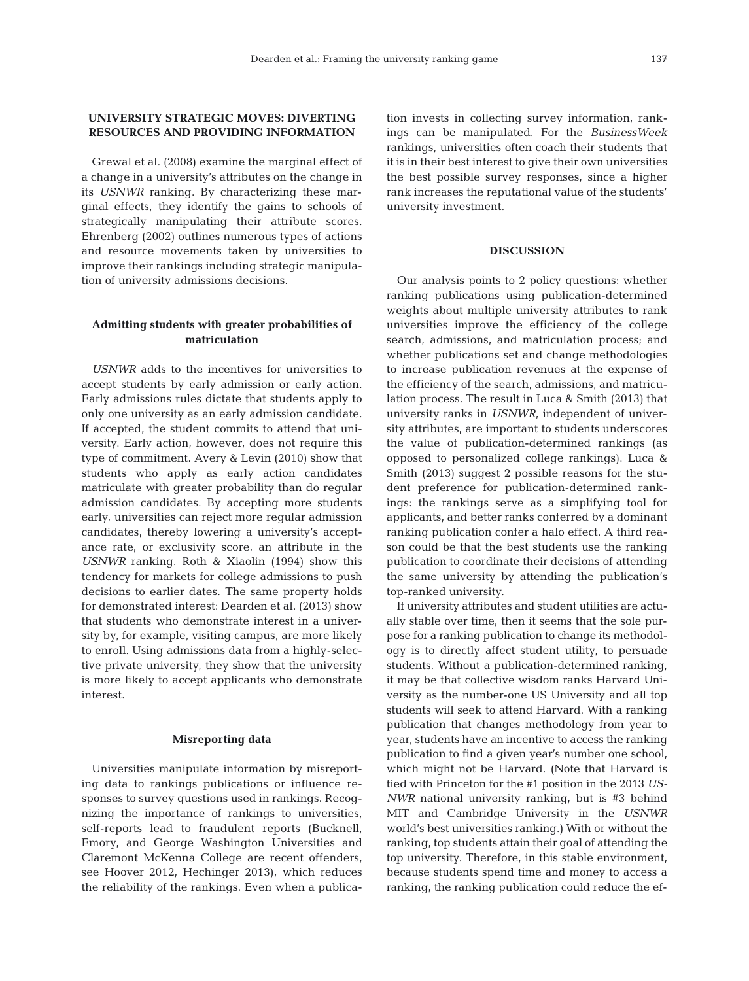# **UNIVERSITY STRATEGIC MOVES: DIVERTING RESOURCES AND PROVIDING INFORMATION**

Grewal et al. (2008) examine the marginal effect of a change in a university's attributes on the change in its *USNWR* ranking. By characterizing these marginal effects, they identify the gains to schools of strategically manipulating their attribute scores. Ehrenberg (2002) outlines numerous types of actions and resource movements taken by universities to improve their rankings including strategic manipulation of university admissions decisions.

### **Admitting students with greater probabilities of matriculation**

*USNWR* adds to the incentives for universities to accept students by early admission or early action. Early admissions rules dictate that students apply to only one university as an early admission candidate. If accepted, the student commits to attend that university. Early action, however, does not require this type of commitment. Avery & Levin (2010) show that students who apply as early action candidates matriculate with greater probability than do regular admission candidates. By accepting more students early, universities can reject more regular admission candidates, thereby lowering a university's acceptance rate, or exclusivity score, an attribute in the *USNWR* ranking. Roth & Xiaolin (1994) show this tendency for markets for college admissions to push decisions to earlier dates. The same property holds for demonstrated interest: Dearden et al. (2013) show that students who demonstrate interest in a university by, for example, visiting campus, are more likely to enroll. Using admissions data from a highly-selective private university, they show that the university is more likely to accept applicants who demonstrate interest.

#### **Misreporting data**

Universities manipulate information by misreporting data to rankings publications or influence responses to survey questions used in rankings. Recognizing the importance of rankings to universities, self-reports lead to fraudulent reports (Bucknell, Emory, and George Washington Universities and Claremont McKenna College are recent offenders, see Hoover 2012, Hechinger 2013), which reduces the reliability of the rankings. Even when a publication invests in collecting survey information, rankings can be manipulated. For the *BusinessWeek* rankings, universities often coach their students that it is in their best interest to give their own universities the best possible survey responses, since a higher rank increases the reputational value of the students' university investment.

#### **DISCUSSION**

Our analysis points to 2 policy questions: whether ranking publications using publication-determined weights about multiple university attributes to rank universities improve the efficiency of the college search, admissions, and matriculation process; and whether publications set and change methodologies to increase publication revenues at the expense of the efficiency of the search, admissions, and matriculation process. The result in Luca & Smith (2013) that university ranks in *USNWR*, independent of university attributes, are important to students underscores the value of publication-determined rankings (as opposed to personalized college rankings). Luca & Smith (2013) suggest 2 possible reasons for the student preference for publication-determined rankings: the rankings serve as a simplifying tool for applicants, and better ranks conferred by a dominant ranking publication confer a halo effect. A third reason could be that the best students use the ranking publication to coordinate their decisions of attending the same university by attending the publication's top-ranked university.

If university attributes and student utilities are actually stable over time, then it seems that the sole purpose for a ranking publication to change its methodology is to directly affect student utility, to persuade students. Without a publication-determined ranking, it may be that collective wisdom ranks Harvard University as the number-one US University and all top students will seek to attend Harvard. With a ranking publication that changes methodology from year to year, students have an incentive to access the ranking publication to find a given year's number one school, which might not be Harvard. (Note that Harvard is tied with Princeton for the #1 position in the 2013 *US-NWR* national university ranking, but is #3 behind MIT and Cambridge University in the *USNWR* world's best universities ranking.) With or without the ranking, top students attain their goal of attending the top university. Therefore, in this stable environment, because students spend time and money to access a ranking, the ranking publication could reduce the ef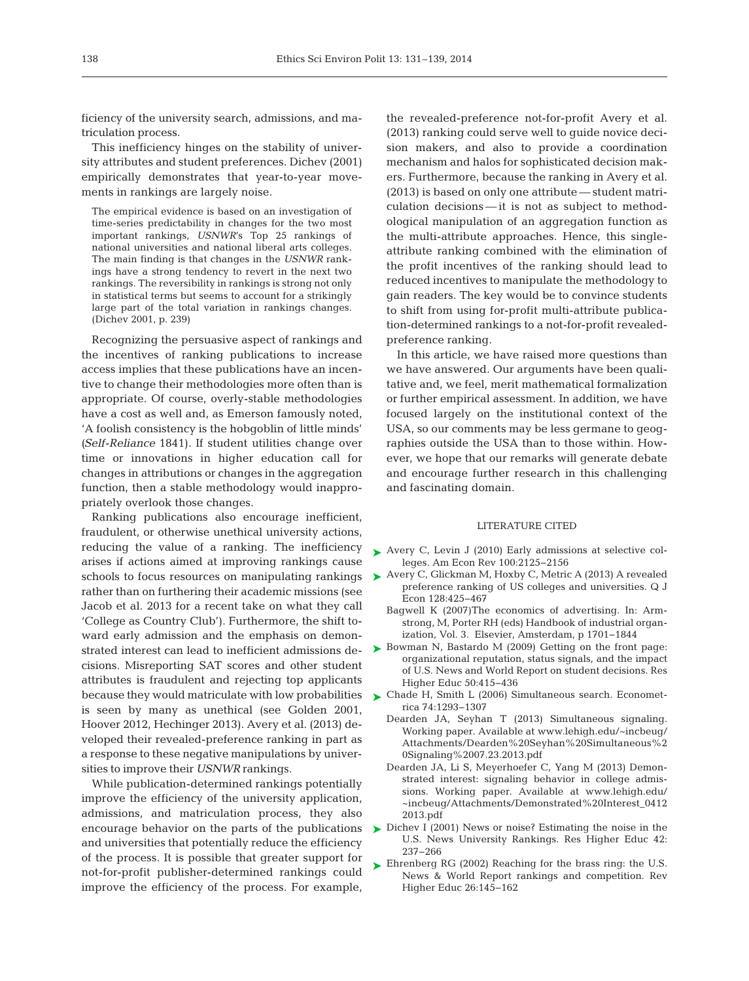ficiency of the university search, admissions, and matriculation process.

This inefficiency hinges on the stability of university attributes and student preferences. Dichev (2001) empirically demonstrates that year-to-year movements in rankings are largely noise.

The empirical evidence is based on an investigation of time-series predictability in changes for the two most important rankings, *USNWR*'s Top 25 rankings of national universities and national liberal arts colleges. The main finding is that changes in the *USNWR* rankings have a strong tendency to revert in the next two rankings. The reversibility in rankings is strong not only in statistical terms but seems to account for a strikingly large part of the total variation in rankings changes. (Dichev 2001, p. 239)

Recognizing the persuasive aspect of rankings and the incentives of ranking publications to increase access implies that these publications have an incentive to change their methodologies more often than is appropriate. Of course, overly-stable methodologies have a cost as well and, as Emerson famously noted, 'A foolish consistency is the hobgoblin of little minds' *(Self-Reliance* 1841). If student utilities change over time or innovations in higher education call for changes in attributions or changes in the aggregation function, then a stable methodology would inappropriately overlook those changes.

Ranking publications also encourage inefficient, fraudulent, or otherwise unethical university actions, reducing the value of a ranking. The inefficiency arises if actions aimed at improving rankings cause schools to focus resources on manipulating rankings rather than on furthering their academic missions (see Jacob et al. 2013 for a recent take on what they call 'College as Country Club'). Furthermore, the shift toward early admission and the emphasis on demonstrated interest can lead to inefficient admissions decisions. Misreporting SAT scores and other student attributes is fraudulent and rejecting top applicants because they would matriculate with low probabilities  $\quadblacktriangleright$  [Chade H, Smith L \(2006\) Simultaneous search. Economet](http://dx.doi.org/10.1111/j.1468-0262.2006.00705.x)is seen by many as unethical (see Golden 2001, Hoover 2012, Hechinger 2013). Avery et al. (2013) developed their revealed-preference ranking in part as a response to these negative manipulations by universities to improve their *USNWR* rankings.

While publication-determined rankings potentially improve the efficiency of the university application, admissions, and matriculation process, they also encourage behavior on the parts of the publications and universities that potentially reduce the efficiency of the process. It is possible that greater support for not-for-profit publisher-determined rankings could improve the efficiency of the process. For example,

the revealed-preference not-for-profit Avery et al. (2013) ranking could serve well to guide novice decision makers, and also to provide a coordination mechanism and halos for sophisticated decision makers. Furthermore, because the ranking in Avery et al.  $(2013)$  is based on only one attribute — student matriculation decisions — it is not as subject to methodological manipulation of an aggregation function as the multi-attribute approaches. Hence, this singleattribute ranking combined with the elimination of the profit incentives of the ranking should lead to reduced incentives to manipulate the methodology to gain readers. The key would be to convince students to shift from using for-profit multi-attribute publication-determined rankings to a not-for-profit revealedpreference ranking.

In this article, we have raised more questions than we have answered. Our arguments have been qualitative and, we feel, merit mathematical formalization or further empirical assessment. In addition, we have focused largely on the institutional context of the USA, so our comments may be less germane to geographies outside the USA than to those within. However, we hope that our remarks will generate debate and encourage further research in this challenging and fascinating domain.

#### LITERATURE CITED

- ▶ [Avery C, Levin J \(2010\) Early admissions at selective col](http://dx.doi.org/10.1257/aer.100.5.2125)leges. Am Econ Rev 100:2125-2156
- ► [Avery C, Glickman M, Hoxby C, Metric A \(2013\) A revealed](http://dx.doi.org/10.1093/qje/qjs043) preference ranking of US colleges and universities. Q J Econ 128:425-467
	- Bagwell K (2007)The economics of advertising. In:Armstrong, M, Porter RH (eds) Handbook of industrial organization, Vol. 3. Elsevier, Amsterdam, p 1701−1844
- ▶ Bowman N, Bastardo M (2009) Getting on the front page: organizational reputation, status signals, and the impact of U.S. News and World Report on student decisions. Res Higher Educ 50:415-436
	- rica 74: 1293−1307
	- Dearden JA, Seyhan T (2013) Simultaneous signaling. Working paper. Available at www. lehigh. edu/ ~incbeug/ Attachments/Dearden%20Seyhan%20Simultaneous%2 0Signaling%2007.23.2013.pdf
	- Dearden JA, Li S, Meyerhoefer C, Yang M (2013) Demonstrated interest: signaling behavior in college admissions. Working paper. Available at www. lehigh. edu/ ~incbeug/Attachments/Demonstrated%20Interest\_0412 2013.pdf
- ▶ [Dichev I \(2001\) News or noise? Estimating the noise in the](http://dx.doi.org/10.1023/A%3A1018810005576) U.S. News University Rankings. Res Higher Educ 42: 237−266
- $\blacktriangleright$  Ehrenberg RG (2002) Reaching for the brass ring: the U.S. News & World Report rankings and competition. Rev Higher Educ 26: 145−162